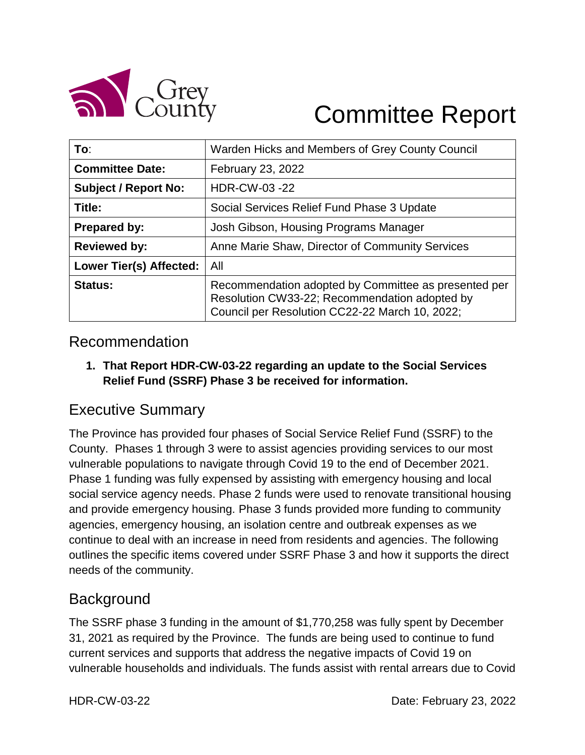

# Committee Report

| To:                         | Warden Hicks and Members of Grey County Council                                                                                                         |  |
|-----------------------------|---------------------------------------------------------------------------------------------------------------------------------------------------------|--|
| <b>Committee Date:</b>      | February 23, 2022                                                                                                                                       |  |
| <b>Subject / Report No:</b> | HDR-CW-03 -22                                                                                                                                           |  |
| Title:                      | Social Services Relief Fund Phase 3 Update                                                                                                              |  |
| <b>Prepared by:</b>         | Josh Gibson, Housing Programs Manager                                                                                                                   |  |
| <b>Reviewed by:</b>         | Anne Marie Shaw, Director of Community Services                                                                                                         |  |
| Lower Tier(s) Affected:     | All                                                                                                                                                     |  |
| <b>Status:</b>              | Recommendation adopted by Committee as presented per<br>Resolution CW33-22; Recommendation adopted by<br>Council per Resolution CC22-22 March 10, 2022; |  |

#### Recommendation

**1. That Report HDR-CW-03-22 regarding an update to the Social Services Relief Fund (SSRF) Phase 3 be received for information.**

# Executive Summary

The Province has provided four phases of Social Service Relief Fund (SSRF) to the County. Phases 1 through 3 were to assist agencies providing services to our most vulnerable populations to navigate through Covid 19 to the end of December 2021. Phase 1 funding was fully expensed by assisting with emergency housing and local social service agency needs. Phase 2 funds were used to renovate transitional housing and provide emergency housing. Phase 3 funds provided more funding to community agencies, emergency housing, an isolation centre and outbreak expenses as we continue to deal with an increase in need from residents and agencies. The following outlines the specific items covered under SSRF Phase 3 and how it supports the direct needs of the community.

# **Background**

The SSRF phase 3 funding in the amount of \$1,770,258 was fully spent by December 31, 2021 as required by the Province. The funds are being used to continue to fund current services and supports that address the negative impacts of Covid 19 on vulnerable households and individuals. The funds assist with rental arrears due to Covid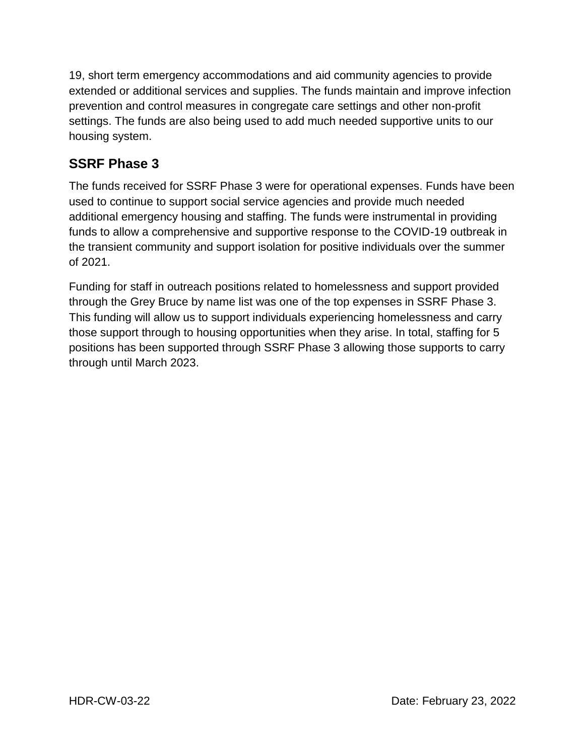19, short term emergency accommodations and aid community agencies to provide extended or additional services and supplies. The funds maintain and improve infection prevention and control measures in congregate care settings and other non-profit settings. The funds are also being used to add much needed supportive units to our housing system.

#### **SSRF Phase 3**

The funds received for SSRF Phase 3 were for operational expenses. Funds have been used to continue to support social service agencies and provide much needed additional emergency housing and staffing. The funds were instrumental in providing funds to allow a comprehensive and supportive response to the COVID-19 outbreak in the transient community and support isolation for positive individuals over the summer of 2021.

Funding for staff in outreach positions related to homelessness and support provided through the Grey Bruce by name list was one of the top expenses in SSRF Phase 3. This funding will allow us to support individuals experiencing homelessness and carry those support through to housing opportunities when they arise. In total, staffing for 5 positions has been supported through SSRF Phase 3 allowing those supports to carry through until March 2023.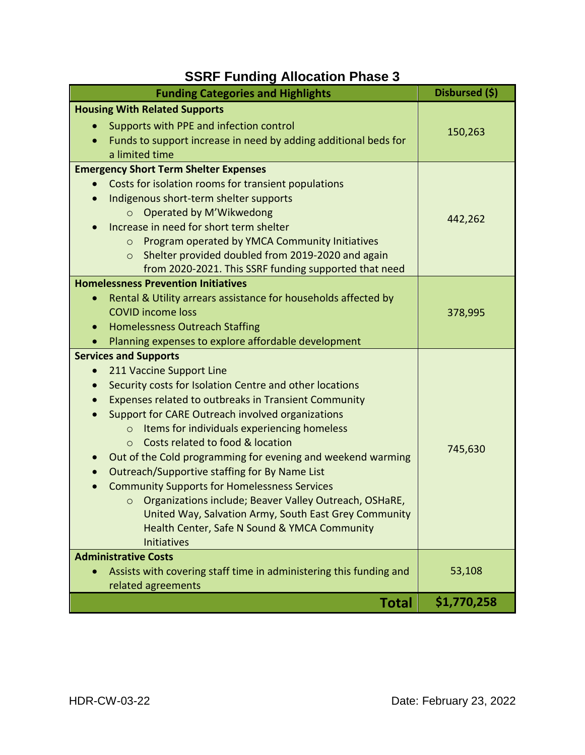# **SSRF Funding Allocation Phase 3**

| <b>Funding Categories and Highlights</b>                                 | Disbursed (\$) |
|--------------------------------------------------------------------------|----------------|
| <b>Housing With Related Supports</b>                                     |                |
| Supports with PPE and infection control                                  | 150,263        |
| Funds to support increase in need by adding additional beds for          |                |
| a limited time                                                           |                |
| <b>Emergency Short Term Shelter Expenses</b>                             | 442,262        |
| Costs for isolation rooms for transient populations                      |                |
| Indigenous short-term shelter supports                                   |                |
| Operated by M'Wikwedong<br>$\circ$                                       |                |
| Increase in need for short term shelter                                  |                |
| Program operated by YMCA Community Initiatives<br>$\circ$                |                |
| Shelter provided doubled from 2019-2020 and again<br>$\circ$             |                |
| from 2020-2021. This SSRF funding supported that need                    |                |
| <b>Homelessness Prevention Initiatives</b>                               |                |
| Rental & Utility arrears assistance for households affected by           | 378,995        |
| <b>COVID income loss</b>                                                 |                |
| <b>Homelessness Outreach Staffing</b>                                    |                |
| Planning expenses to explore affordable development                      |                |
| <b>Services and Supports</b>                                             |                |
| 211 Vaccine Support Line                                                 |                |
| Security costs for Isolation Centre and other locations                  |                |
| Expenses related to outbreaks in Transient Community                     |                |
| Support for CARE Outreach involved organizations                         |                |
| Items for individuals experiencing homeless<br>$\circ$                   |                |
| Costs related to food & location<br>$\circ$                              | 745,630        |
| Out of the Cold programming for evening and weekend warming<br>$\bullet$ |                |
| Outreach/Supportive staffing for By Name List<br>$\bullet$               |                |
| <b>Community Supports for Homelessness Services</b>                      |                |
| Organizations include; Beaver Valley Outreach, OSHaRE,<br>$\circ$        |                |
| United Way, Salvation Army, South East Grey Community                    |                |
| Health Center, Safe N Sound & YMCA Community                             |                |
| <b>Initiatives</b>                                                       |                |
| <b>Administrative Costs</b>                                              |                |
| Assists with covering staff time in administering this funding and       | 53,108         |
| related agreements                                                       |                |
| <b>Total</b>                                                             | \$1,770,258    |